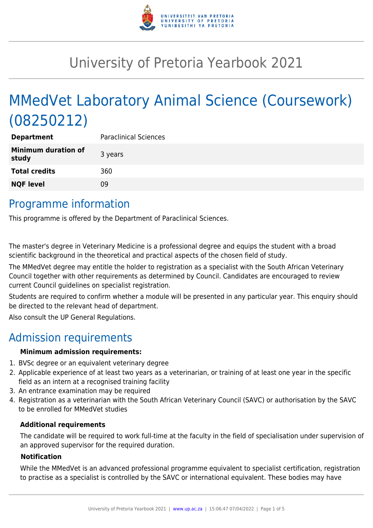

# University of Pretoria Yearbook 2021

# MMedVet Laboratory Animal Science (Coursework) (08250212)

| <b>Department</b>                   | <b>Paraclinical Sciences</b> |
|-------------------------------------|------------------------------|
| <b>Minimum duration of</b><br>study | 3 years                      |
| <b>Total credits</b>                | 360                          |
| <b>NQF level</b>                    | 09                           |
|                                     |                              |

## Programme information

This programme is offered by the Department of Paraclinical Sciences.

The master's degree in Veterinary Medicine is a professional degree and equips the student with a broad scientific background in the theoretical and practical aspects of the chosen field of study.

The MMedVet degree may entitle the holder to registration as a specialist with the South African Veterinary Council together with other requirements as determined by Council. Candidates are encouraged to review current Council guidelines on specialist registration.

Students are required to confirm whether a module will be presented in any particular year. This enquiry should be directed to the relevant head of department.

Also consult the UP General Regulations.

### Admission requirements

#### **Minimum admission requirements:**

- 1. BVSc degree or an equivalent veterinary degree
- 2. Applicable experience of at least two years as a veterinarian, or training of at least one year in the specific field as an intern at a recognised training facility
- 3. An entrance examination may be required
- 4. Registration as a veterinarian with the South African Veterinary Council (SAVC) or authorisation by the SAVC to be enrolled for MMedVet studies

#### **Additional requirements**

The candidate will be required to work full-time at the faculty in the field of specialisation under supervision of an approved supervisor for the required duration.

#### **Notification**

While the MMedVet is an advanced professional programme equivalent to specialist certification, registration to practise as a specialist is controlled by the SAVC or international equivalent. These bodies may have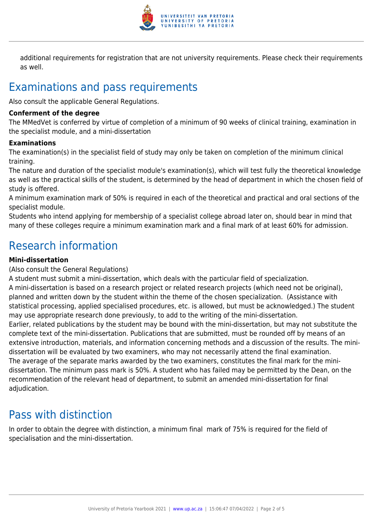

additional requirements for registration that are not university requirements. Please check their requirements as well.

# Examinations and pass requirements

Also consult the applicable General Regulations.

#### **Conferment of the degree**

The MMedVet is conferred by virtue of completion of a minimum of 90 weeks of clinical training, examination in the specialist module, and a mini-dissertation

#### **Examinations**

The examination(s) in the specialist field of study may only be taken on completion of the minimum clinical training.

The nature and duration of the specialist module's examination(s), which will test fully the theoretical knowledge as well as the practical skills of the student, is determined by the head of department in which the chosen field of study is offered.

A minimum examination mark of 50% is required in each of the theoretical and practical and oral sections of the specialist module.

Students who intend applying for membership of a specialist college abroad later on, should bear in mind that many of these colleges require a minimum examination mark and a final mark of at least 60% for admission.

### Research information

#### **Mini-dissertation**

#### (Also consult the General Regulations)

A student must submit a mini-dissertation, which deals with the particular field of specialization. A mini-dissertation is based on a research project or related research projects (which need not be original), planned and written down by the student within the theme of the chosen specialization. (Assistance with statistical processing, applied specialised procedures, etc. is allowed, but must be acknowledged.) The student may use appropriate research done previously, to add to the writing of the mini-dissertation. Earlier, related publications by the student may be bound with the mini-dissertation, but may not substitute the complete text of the mini-dissertation. Publications that are submitted, must be rounded off by means of an extensive introduction, materials, and information concerning methods and a discussion of the results. The minidissertation will be evaluated by two examiners, who may not necessarily attend the final examination. The average of the separate marks awarded by the two examiners, constitutes the final mark for the minidissertation. The minimum pass mark is 50%. A student who has failed may be permitted by the Dean, on the recommendation of the relevant head of department, to submit an amended mini-dissertation for final adjudication.

### Pass with distinction

In order to obtain the degree with distinction, a minimum final mark of 75% is required for the field of specialisation and the mini-dissertation.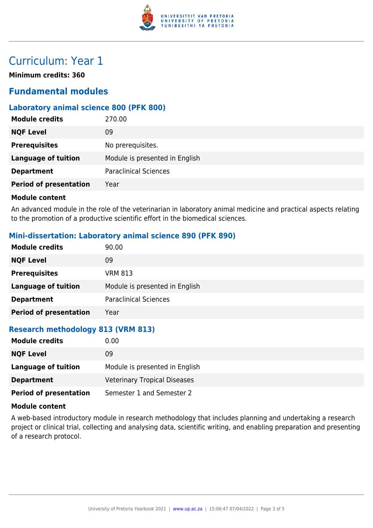

## Curriculum: Year 1

**Minimum credits: 360**

### **Fundamental modules**

#### **Laboratory animal science 800 (PFK 800)**

| <b>Module credits</b>         | 270.00                         |
|-------------------------------|--------------------------------|
| <b>NQF Level</b>              | 09                             |
| <b>Prerequisites</b>          | No prerequisites.              |
| <b>Language of tuition</b>    | Module is presented in English |
| <b>Department</b>             | <b>Paraclinical Sciences</b>   |
| <b>Period of presentation</b> | Year                           |
|                               |                                |

#### **Module content**

An advanced module in the role of the veterinarian in laboratory animal medicine and practical aspects relating to the promotion of a productive scientific effort in the biomedical sciences.

#### **Mini-dissertation: Laboratory animal science 890 (PFK 890)**

| <b>Module credits</b>         | 90.00                          |
|-------------------------------|--------------------------------|
| <b>NQF Level</b>              | 09                             |
| <b>Prerequisites</b>          | <b>VRM 813</b>                 |
| <b>Language of tuition</b>    | Module is presented in English |
| <b>Department</b>             | <b>Paraclinical Sciences</b>   |
| <b>Period of presentation</b> | Year                           |

#### **Research methodology 813 (VRM 813)**

| <b>Module credits</b>         | 0.00                                |
|-------------------------------|-------------------------------------|
| <b>NQF Level</b>              | 09                                  |
| Language of tuition           | Module is presented in English      |
| <b>Department</b>             | <b>Veterinary Tropical Diseases</b> |
| <b>Period of presentation</b> | Semester 1 and Semester 2           |

#### **Module content**

A web-based introductory module in research methodology that includes planning and undertaking a research project or clinical trial, collecting and analysing data, scientific writing, and enabling preparation and presenting of a research protocol.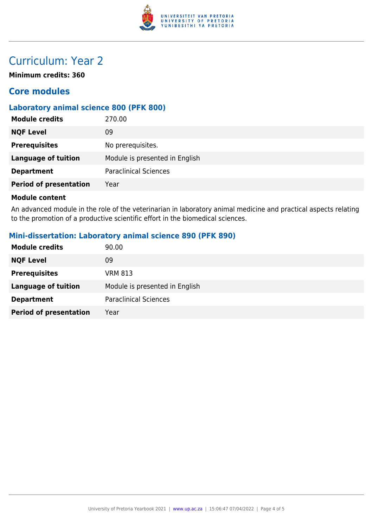

## Curriculum: Year 2

**Minimum credits: 360**

### **Core modules**

#### **Laboratory animal science 800 (PFK 800)**

| <b>NQF Level</b><br>09<br><b>Prerequisites</b><br>No prerequisites.<br>Module is presented in English<br><b>Language of tuition</b><br><b>Paraclinical Sciences</b><br><b>Department</b><br><b>Period of presentation</b><br>Year | <b>Module credits</b> | 270.00 |
|-----------------------------------------------------------------------------------------------------------------------------------------------------------------------------------------------------------------------------------|-----------------------|--------|
|                                                                                                                                                                                                                                   |                       |        |
|                                                                                                                                                                                                                                   |                       |        |
|                                                                                                                                                                                                                                   |                       |        |
|                                                                                                                                                                                                                                   |                       |        |
|                                                                                                                                                                                                                                   |                       |        |

#### **Module content**

An advanced module in the role of the veterinarian in laboratory animal medicine and practical aspects relating to the promotion of a productive scientific effort in the biomedical sciences.

#### **Mini-dissertation: Laboratory animal science 890 (PFK 890)**

| <b>Module credits</b>         | 90.00                          |
|-------------------------------|--------------------------------|
| <b>NQF Level</b>              | 09                             |
| <b>Prerequisites</b>          | <b>VRM 813</b>                 |
| Language of tuition           | Module is presented in English |
| <b>Department</b>             | <b>Paraclinical Sciences</b>   |
| <b>Period of presentation</b> | Year                           |